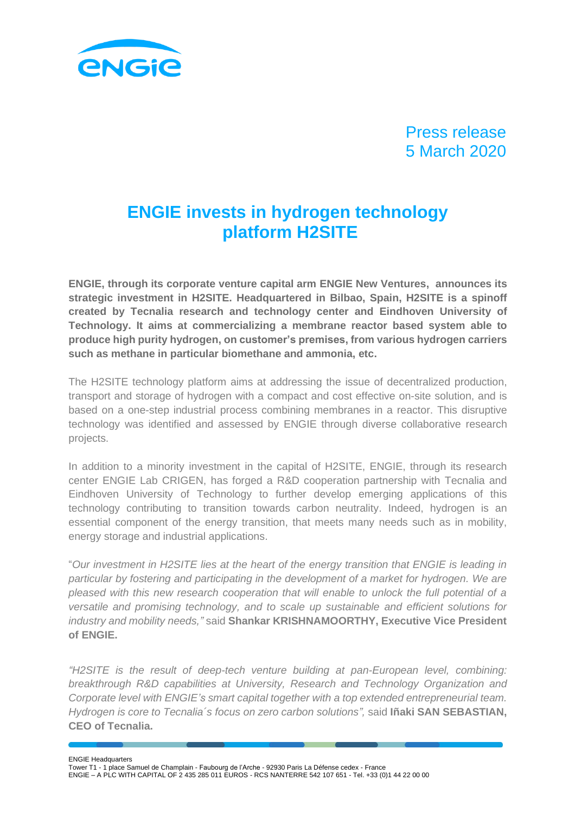

# Press release 5 March 2020

# **ENGIE invests in hydrogen technology platform H2SITE**

**ENGIE, through its corporate venture capital arm ENGIE New Ventures, announces its strategic investment in H2SITE. Headquartered in Bilbao, Spain, H2SITE is a spinoff created by Tecnalia research and technology center and Eindhoven University of Technology. It aims at commercializing a membrane reactor based system able to produce high purity hydrogen, on customer's premises, from various hydrogen carriers such as methane in particular biomethane and ammonia, etc.**

The H2SITE technology platform aims at addressing the issue of decentralized production, transport and storage of hydrogen with a compact and cost effective on-site solution, and is based on a one-step industrial process combining membranes in a reactor. This disruptive technology was identified and assessed by ENGIE through diverse collaborative research projects.

In addition to a minority investment in the capital of H2SITE, ENGIE, through its research center ENGIE Lab CRIGEN, has forged a R&D cooperation partnership with Tecnalia and Eindhoven University of Technology to further develop emerging applications of this technology contributing to transition towards carbon neutrality. Indeed, hydrogen is an essential component of the energy transition, that meets many needs such as in mobility, energy storage and industrial applications.

"*Our investment in H2SITE lies at the heart of the energy transition that ENGIE is leading in particular by fostering and participating in the development of a market for hydrogen. We are pleased with this new research cooperation that will enable to unlock the full potential of a versatile and promising technology, and to scale up sustainable and efficient solutions for industry and mobility needs,"* said **Shankar KRISHNAMOORTHY, Executive Vice President of ENGIE.**

*"H2SITE is the result of deep-tech venture building at pan-European level, combining: breakthrough R&D capabilities at University, Research and Technology Organization and Corporate level with ENGIE's smart capital together with a top extended entrepreneurial team. Hydrogen is core to Tecnalia´s focus on zero carbon solutions",* said **Iñaki SAN SEBASTIAN, CEO of Tecnalia.**

ENGIE Headquarters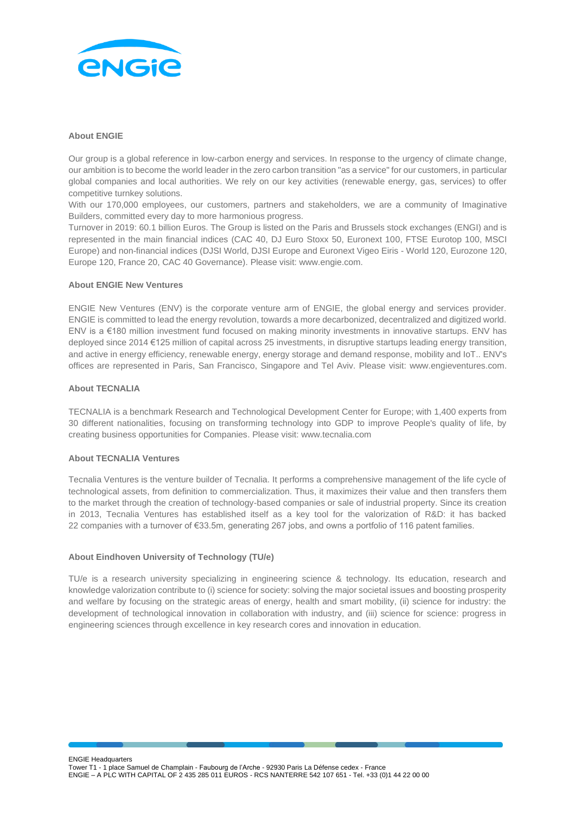

#### **About ENGIE**

Our group is a global reference in low-carbon energy and services. In response to the urgency of climate change, our ambition is to become the world leader in the zero carbon transition "as a service" for our customers, in particular global companies and local authorities. We rely on our key activities (renewable energy, gas, services) to offer competitive turnkey solutions.

With our 170,000 employees, our customers, partners and stakeholders, we are a community of Imaginative Builders, committed every day to more harmonious progress.

Turnover in 2019: 60.1 billion Euros. The Group is listed on the Paris and Brussels stock exchanges (ENGI) and is represented in the main financial indices (CAC 40, DJ Euro Stoxx 50, Euronext 100, FTSE Eurotop 100, MSCI Europe) and non-financial indices (DJSI World, DJSI Europe and Euronext Vigeo Eiris - World 120, Eurozone 120, Europe 120, France 20, CAC 40 Governance). Please visit: www.engie.com.

#### **About ENGIE New Ventures**

ENGIE New Ventures (ENV) is the corporate venture arm of ENGIE, the global energy and services provider. ENGIE is committed to lead the energy revolution, towards a more decarbonized, decentralized and digitized world. ENV is a €180 million investment fund focused on making minority investments in innovative startups. ENV has deployed since 2014 €125 million of capital across 25 investments, in disruptive startups leading energy transition, and active in energy efficiency, renewable energy, energy storage and demand response, mobility and IoT.. ENV's offices are represented in Paris, San Francisco, Singapore and Tel Aviv. Please visit: [www.engieventures.com.](http://www.engieventures.com/)

#### **About TECNALIA**

TECNALIA is a benchmark Research and Technological Development Center for Europe; with 1,400 experts from 30 different nationalities, focusing on transforming technology into GDP to improve People's quality of life, by creating business opportunities for Companies. Please visit[: www.tecnalia.com](http://www.tecnalia.com/)

## **About TECNALIA Ventures**

Tecnalia Ventures is the venture builder of Tecnalia. It performs a comprehensive management of the life cycle of technological assets, from definition to commercialization. Thus, it maximizes their value and then transfers them to the market through the creation of technology-based companies or sale of industrial property. Since its creation in 2013, Tecnalia Ventures has established itself as a key tool for the valorization of R&D: it has backed 22 companies with a turnover of €33.5m, generating 267 jobs, and owns a portfolio of 116 patent families.

## **About Eindhoven University of Technology (TU/e)**

TU/e is a research university specializing in engineering science & technology. Its education, research and knowledge valorization contribute to (i) science for society: solving the major societal issues and boosting prosperity and welfare by focusing on the strategic areas of energy, health and smart mobility, (ii) science for industry: the development of technological innovation in collaboration with industry, and (iii) science for science: progress in engineering sciences through excellence in key research cores and innovation in education.